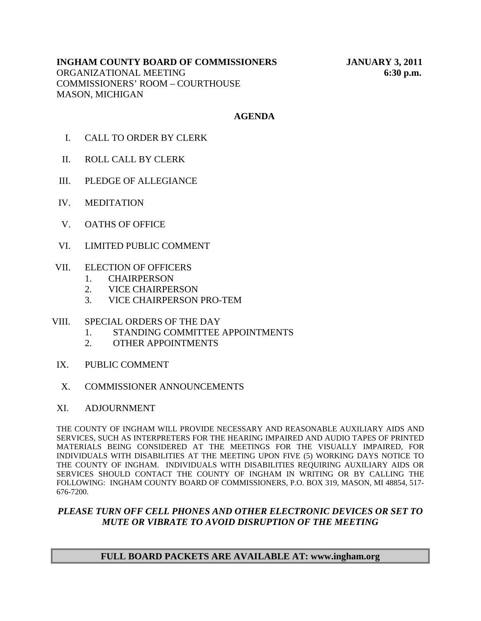## **INGHAM COUNTY BOARD OF COMMISSIONERS JANUARY 3, 2011**  ORGANIZATIONAL MEETING **6:30 p.m.**  COMMISSIONERS' ROOM – COURTHOUSE MASON, MICHIGAN

# **AGENDA**

- I. CALL TO ORDER BY CLERK
- II. ROLL CALL BY CLERK
- III. PLEDGE OF ALLEGIANCE
- IV. MEDITATION
- V. OATHS OF OFFICE
- VI. LIMITED PUBLIC COMMENT
- VII. ELECTION OF OFFICERS
	- 1. CHAIRPERSON
	- 2. VICE CHAIRPERSON
	- 3. VICE CHAIRPERSON PRO-TEM
- VIII. SPECIAL ORDERS OF THE DAY
	- 1. STANDING COMMITTEE APPOINTMENTS
	- 2. OTHER APPOINTMENTS
- IX. PUBLIC COMMENT
- X. COMMISSIONER ANNOUNCEMENTS
- XI. ADJOURNMENT

THE COUNTY OF INGHAM WILL PROVIDE NECESSARY AND REASONABLE AUXILIARY AIDS AND SERVICES, SUCH AS INTERPRETERS FOR THE HEARING IMPAIRED AND AUDIO TAPES OF PRINTED MATERIALS BEING CONSIDERED AT THE MEETINGS FOR THE VISUALLY IMPAIRED, FOR INDIVIDUALS WITH DISABILITIES AT THE MEETING UPON FIVE (5) WORKING DAYS NOTICE TO THE COUNTY OF INGHAM. INDIVIDUALS WITH DISABILITIES REQUIRING AUXILIARY AIDS OR SERVICES SHOULD CONTACT THE COUNTY OF INGHAM IN WRITING OR BY CALLING THE FOLLOWING: INGHAM COUNTY BOARD OF COMMISSIONERS, P.O. BOX 319, MASON, MI 48854, 517- 676-7200.

## *PLEASE TURN OFF CELL PHONES AND OTHER ELECTRONIC DEVICES OR SET TO MUTE OR VIBRATE TO AVOID DISRUPTION OF THE MEETING*

# **FULL BOARD PACKETS ARE AVAILABLE AT: www.ingham.org**